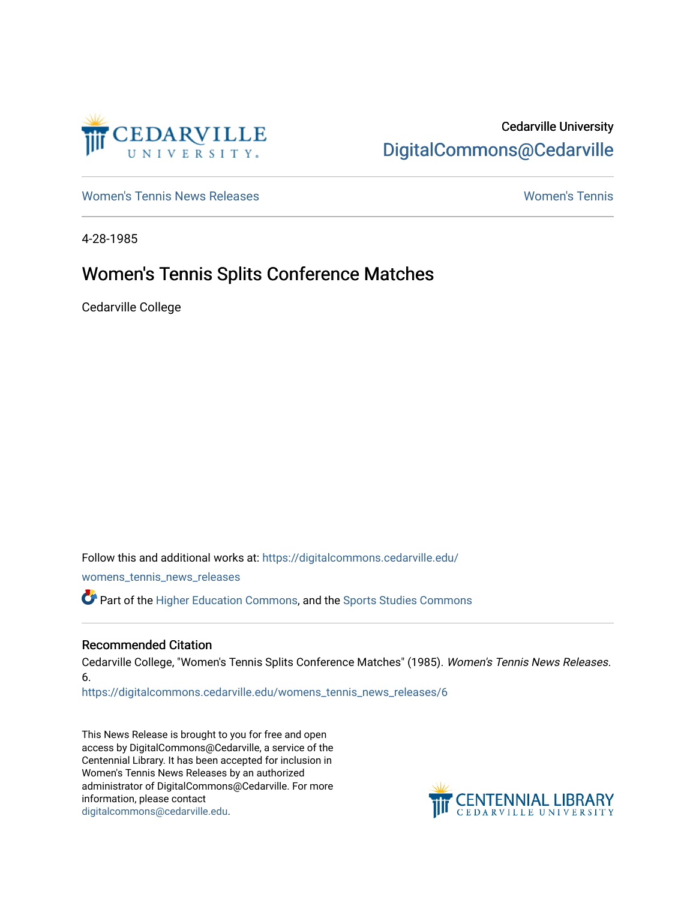

## Cedarville University [DigitalCommons@Cedarville](https://digitalcommons.cedarville.edu/)

[Women's Tennis News Releases](https://digitalcommons.cedarville.edu/womens_tennis_news_releases) [Women's Tennis](https://digitalcommons.cedarville.edu/womens_tennis) 

4-28-1985

## Women's Tennis Splits Conference Matches

Cedarville College

Follow this and additional works at: [https://digitalcommons.cedarville.edu/](https://digitalcommons.cedarville.edu/womens_tennis_news_releases?utm_source=digitalcommons.cedarville.edu%2Fwomens_tennis_news_releases%2F6&utm_medium=PDF&utm_campaign=PDFCoverPages) [womens\\_tennis\\_news\\_releases](https://digitalcommons.cedarville.edu/womens_tennis_news_releases?utm_source=digitalcommons.cedarville.edu%2Fwomens_tennis_news_releases%2F6&utm_medium=PDF&utm_campaign=PDFCoverPages)  Part of the [Higher Education Commons,](http://network.bepress.com/hgg/discipline/1245?utm_source=digitalcommons.cedarville.edu%2Fwomens_tennis_news_releases%2F6&utm_medium=PDF&utm_campaign=PDFCoverPages) and the [Sports Studies Commons](http://network.bepress.com/hgg/discipline/1198?utm_source=digitalcommons.cedarville.edu%2Fwomens_tennis_news_releases%2F6&utm_medium=PDF&utm_campaign=PDFCoverPages) 

#### Recommended Citation

Cedarville College, "Women's Tennis Splits Conference Matches" (1985). Women's Tennis News Releases. 6.

[https://digitalcommons.cedarville.edu/womens\\_tennis\\_news\\_releases/6](https://digitalcommons.cedarville.edu/womens_tennis_news_releases/6?utm_source=digitalcommons.cedarville.edu%2Fwomens_tennis_news_releases%2F6&utm_medium=PDF&utm_campaign=PDFCoverPages) 

This News Release is brought to you for free and open access by DigitalCommons@Cedarville, a service of the Centennial Library. It has been accepted for inclusion in Women's Tennis News Releases by an authorized administrator of DigitalCommons@Cedarville. For more information, please contact [digitalcommons@cedarville.edu](mailto:digitalcommons@cedarville.edu).